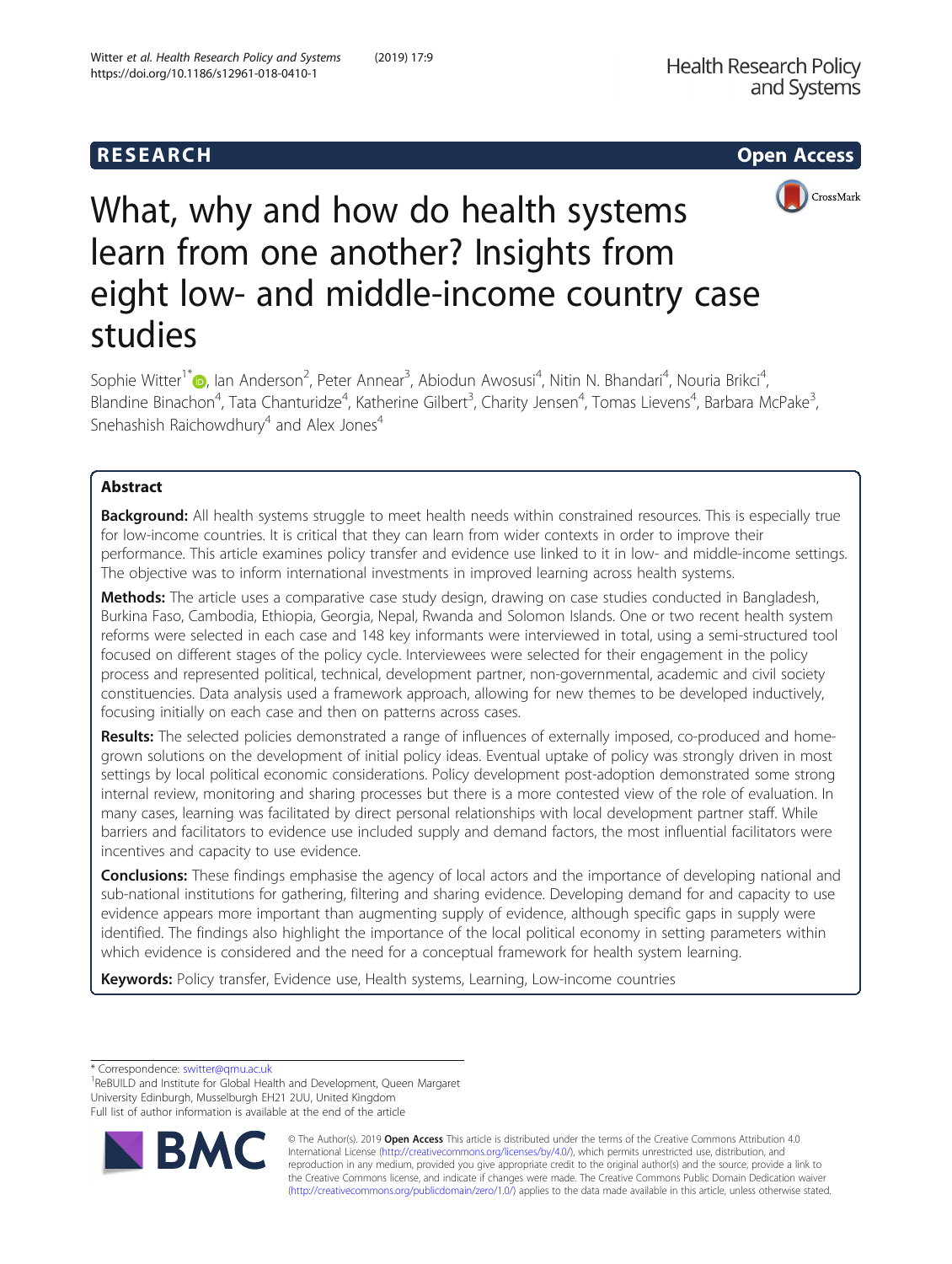## R E S EAR CH Open Access



# What, why and how do health systems learn from one another? Insights from eight low- and middle-income country case studies

Sophie Witter<sup>1[\\*](http://orcid.org/0000-0002-7656-6188)</sup>D, Ian Anderson<sup>2</sup>, Peter Annear<sup>3</sup>, Abiodun Awosusi<sup>4</sup>, Nitin N. Bhandari<sup>4</sup>, Nouria Brikci<sup>4</sup> , Blandine Binachon<sup>4</sup>, Tata Chanturidze<sup>4</sup>, Katherine Gilbert<sup>3</sup>, Charity Jensen<sup>4</sup>, Tomas Lievens<sup>4</sup>, Barbara McPake<sup>3</sup> , Snehashish Raichowdhury<sup>4</sup> and Alex Jones<sup>4</sup>

## Abstract

Background: All health systems struggle to meet health needs within constrained resources. This is especially true for low-income countries. It is critical that they can learn from wider contexts in order to improve their performance. This article examines policy transfer and evidence use linked to it in low- and middle-income settings. The objective was to inform international investments in improved learning across health systems.

Methods: The article uses a comparative case study design, drawing on case studies conducted in Bangladesh, Burkina Faso, Cambodia, Ethiopia, Georgia, Nepal, Rwanda and Solomon Islands. One or two recent health system reforms were selected in each case and 148 key informants were interviewed in total, using a semi-structured tool focused on different stages of the policy cycle. Interviewees were selected for their engagement in the policy process and represented political, technical, development partner, non-governmental, academic and civil society constituencies. Data analysis used a framework approach, allowing for new themes to be developed inductively, focusing initially on each case and then on patterns across cases.

Results: The selected policies demonstrated a range of influences of externally imposed, co-produced and homegrown solutions on the development of initial policy ideas. Eventual uptake of policy was strongly driven in most settings by local political economic considerations. Policy development post-adoption demonstrated some strong internal review, monitoring and sharing processes but there is a more contested view of the role of evaluation. In many cases, learning was facilitated by direct personal relationships with local development partner staff. While barriers and facilitators to evidence use included supply and demand factors, the most influential facilitators were incentives and capacity to use evidence.

**Conclusions:** These findings emphasise the agency of local actors and the importance of developing national and sub-national institutions for gathering, filtering and sharing evidence. Developing demand for and capacity to use evidence appears more important than augmenting supply of evidence, although specific gaps in supply were identified. The findings also highlight the importance of the local political economy in setting parameters within which evidence is considered and the need for a conceptual framework for health system learning.

Keywords: Policy transfer, Evidence use, Health systems, Learning, Low-income countries

\* Correspondence: [switter@qmu.ac.uk](mailto:switter@qmu.ac.uk) <sup>1</sup>

<sup>1</sup>ReBUILD and Institute for Global Health and Development, Queen Margaret University Edinburgh, Musselburgh EH21 2UU, United Kingdom Full list of author information is available at the end of the article



© The Author(s). 2019 **Open Access** This article is distributed under the terms of the Creative Commons Attribution 4.0 International License [\(http://creativecommons.org/licenses/by/4.0/](http://creativecommons.org/licenses/by/4.0/)), which permits unrestricted use, distribution, and reproduction in any medium, provided you give appropriate credit to the original author(s) and the source, provide a link to the Creative Commons license, and indicate if changes were made. The Creative Commons Public Domain Dedication waiver [\(http://creativecommons.org/publicdomain/zero/1.0/](http://creativecommons.org/publicdomain/zero/1.0/)) applies to the data made available in this article, unless otherwise stated.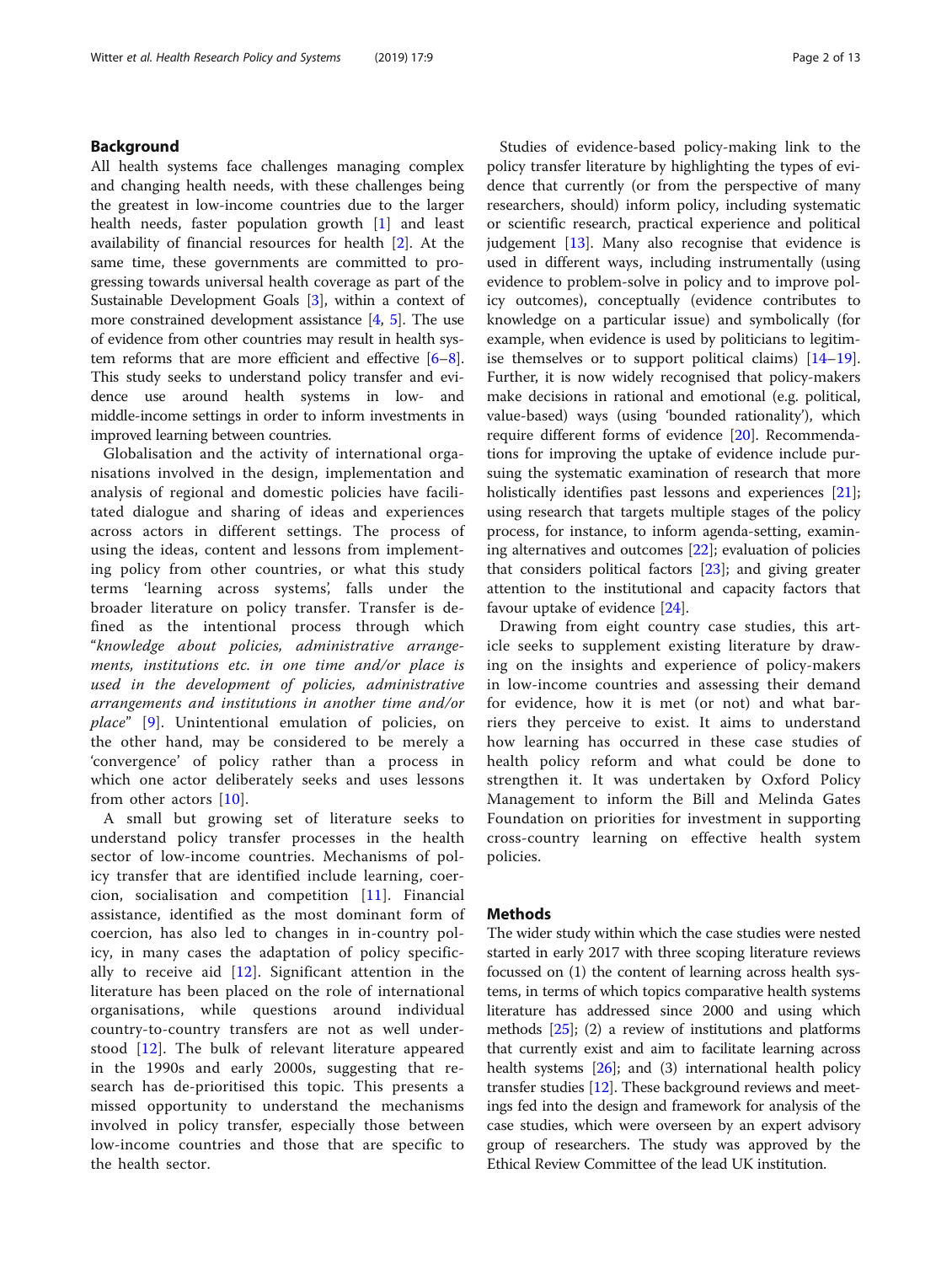## Background

All health systems face challenges managing complex and changing health needs, with these challenges being the greatest in low-income countries due to the larger health needs, faster population growth [[1\]](#page-10-0) and least availability of financial resources for health [\[2](#page-10-0)]. At the same time, these governments are committed to progressing towards universal health coverage as part of the Sustainable Development Goals [\[3\]](#page-11-0), within a context of more constrained development assistance  $[4, 5]$  $[4, 5]$  $[4, 5]$ . The use of evidence from other countries may result in health system reforms that are more efficient and effective [[6](#page-11-0)–[8](#page-11-0)]. This study seeks to understand policy transfer and evidence use around health systems in low- and middle-income settings in order to inform investments in improved learning between countries.

Globalisation and the activity of international organisations involved in the design, implementation and analysis of regional and domestic policies have facilitated dialogue and sharing of ideas and experiences across actors in different settings. The process of using the ideas, content and lessons from implementing policy from other countries, or what this study terms 'learning across systems', falls under the broader literature on policy transfer. Transfer is defined as the intentional process through which "knowledge about policies, administrative arrangements, institutions etc. in one time and/or place is used in the development of policies, administrative arrangements and institutions in another time and/or place" [\[9](#page-11-0)]. Unintentional emulation of policies, on the other hand, may be considered to be merely a 'convergence' of policy rather than a process in which one actor deliberately seeks and uses lessons from other actors [[10](#page-11-0)].

A small but growing set of literature seeks to understand policy transfer processes in the health sector of low-income countries. Mechanisms of policy transfer that are identified include learning, coercion, socialisation and competition [\[11](#page-11-0)]. Financial assistance, identified as the most dominant form of coercion, has also led to changes in in-country policy, in many cases the adaptation of policy specifically to receive aid [[12\]](#page-11-0). Significant attention in the literature has been placed on the role of international organisations, while questions around individual country-to-country transfers are not as well understood [[12\]](#page-11-0). The bulk of relevant literature appeared in the 1990s and early 2000s, suggesting that research has de-prioritised this topic. This presents a missed opportunity to understand the mechanisms involved in policy transfer, especially those between low-income countries and those that are specific to the health sector.

Studies of evidence-based policy-making link to the policy transfer literature by highlighting the types of evidence that currently (or from the perspective of many researchers, should) inform policy, including systematic or scientific research, practical experience and political judgement  $[13]$  $[13]$ . Many also recognise that evidence is used in different ways, including instrumentally (using evidence to problem-solve in policy and to improve policy outcomes), conceptually (evidence contributes to knowledge on a particular issue) and symbolically (for example, when evidence is used by politicians to legitimise themselves or to support political claims) [[14](#page-11-0)–[19](#page-11-0)]. Further, it is now widely recognised that policy-makers make decisions in rational and emotional (e.g. political, value-based) ways (using 'bounded rationality'), which require different forms of evidence [[20\]](#page-11-0). Recommendations for improving the uptake of evidence include pursuing the systematic examination of research that more holistically identifies past lessons and experiences [\[21](#page-11-0)]; using research that targets multiple stages of the policy process, for instance, to inform agenda-setting, examining alternatives and outcomes [[22\]](#page-11-0); evaluation of policies that considers political factors [\[23](#page-11-0)]; and giving greater attention to the institutional and capacity factors that favour uptake of evidence [\[24\]](#page-11-0).

Drawing from eight country case studies, this article seeks to supplement existing literature by drawing on the insights and experience of policy-makers in low-income countries and assessing their demand for evidence, how it is met (or not) and what barriers they perceive to exist. It aims to understand how learning has occurred in these case studies of health policy reform and what could be done to strengthen it. It was undertaken by Oxford Policy Management to inform the Bill and Melinda Gates Foundation on priorities for investment in supporting cross-country learning on effective health system policies.

## **Methods**

The wider study within which the case studies were nested started in early 2017 with three scoping literature reviews focussed on (1) the content of learning across health systems, in terms of which topics comparative health systems literature has addressed since 2000 and using which methods [[25](#page-11-0)]; (2) a review of institutions and platforms that currently exist and aim to facilitate learning across health systems [\[26](#page-11-0)]; and (3) international health policy transfer studies [\[12](#page-11-0)]. These background reviews and meetings fed into the design and framework for analysis of the case studies, which were overseen by an expert advisory group of researchers. The study was approved by the Ethical Review Committee of the lead UK institution.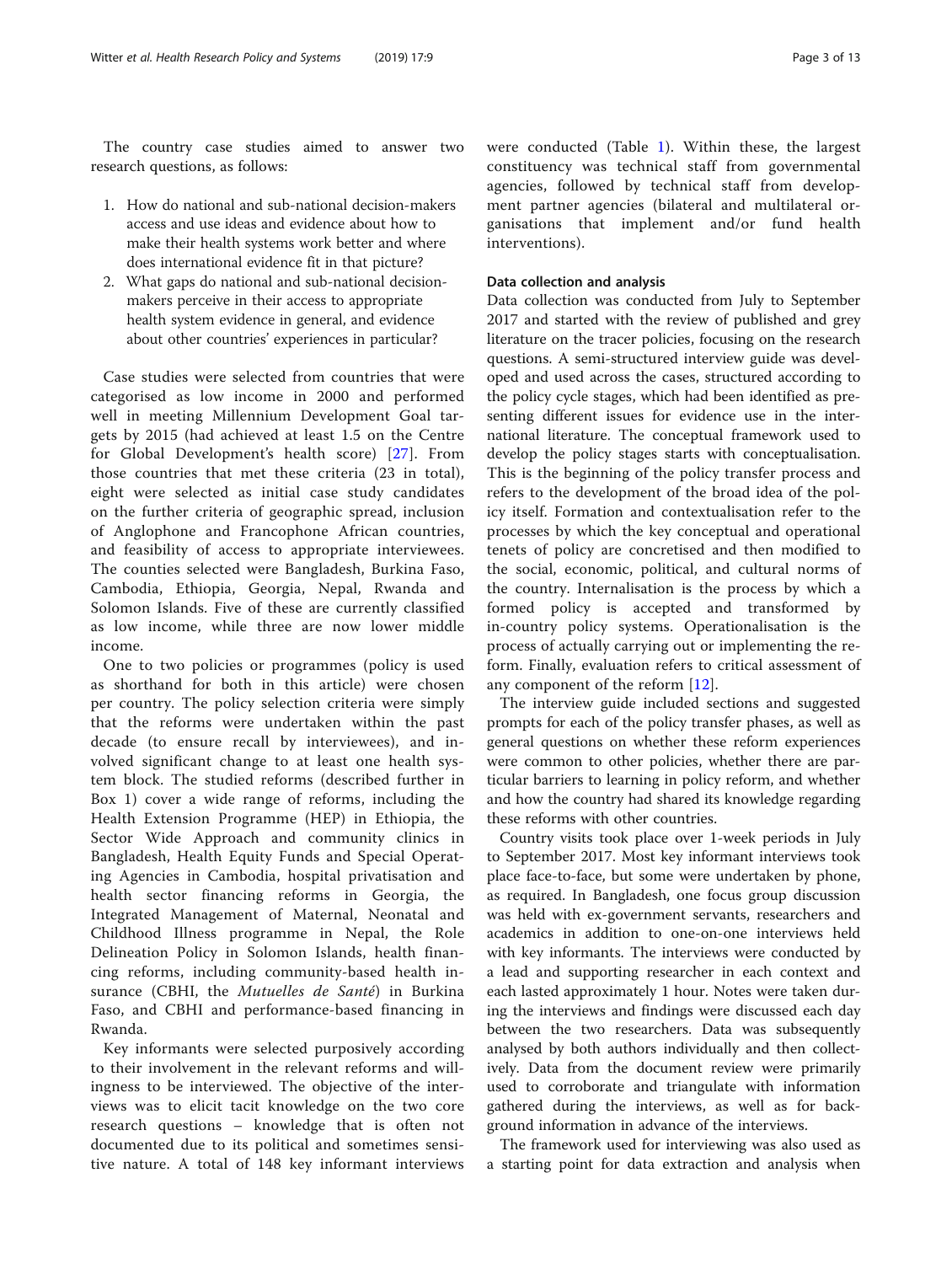The country case studies aimed to answer two research questions, as follows:

- 1. How do national and sub-national decision-makers access and use ideas and evidence about how to make their health systems work better and where does international evidence fit in that picture?
- 2. What gaps do national and sub-national decisionmakers perceive in their access to appropriate health system evidence in general, and evidence about other countries' experiences in particular?

Case studies were selected from countries that were categorised as low income in 2000 and performed well in meeting Millennium Development Goal targets by 2015 (had achieved at least 1.5 on the Centre for Global Development's health score) [[27\]](#page-11-0). From those countries that met these criteria (23 in total), eight were selected as initial case study candidates on the further criteria of geographic spread, inclusion of Anglophone and Francophone African countries, and feasibility of access to appropriate interviewees. The counties selected were Bangladesh, Burkina Faso, Cambodia, Ethiopia, Georgia, Nepal, Rwanda and Solomon Islands. Five of these are currently classified as low income, while three are now lower middle income.

One to two policies or programmes (policy is used as shorthand for both in this article) were chosen per country. The policy selection criteria were simply that the reforms were undertaken within the past decade (to ensure recall by interviewees), and involved significant change to at least one health system block. The studied reforms (described further in Box 1) cover a wide range of reforms, including the Health Extension Programme (HEP) in Ethiopia, the Sector Wide Approach and community clinics in Bangladesh, Health Equity Funds and Special Operating Agencies in Cambodia, hospital privatisation and health sector financing reforms in Georgia, the Integrated Management of Maternal, Neonatal and Childhood Illness programme in Nepal, the Role Delineation Policy in Solomon Islands, health financing reforms, including community-based health insurance (CBHI, the Mutuelles de Santé) in Burkina Faso, and CBHI and performance-based financing in Rwanda.

Key informants were selected purposively according to their involvement in the relevant reforms and willingness to be interviewed. The objective of the interviews was to elicit tacit knowledge on the two core research questions – knowledge that is often not documented due to its political and sometimes sensitive nature. A total of 148 key informant interviews were conducted (Table [1](#page-4-0)). Within these, the largest constituency was technical staff from governmental agencies, followed by technical staff from development partner agencies (bilateral and multilateral organisations that implement and/or fund health interventions).

#### Data collection and analysis

Data collection was conducted from July to September 2017 and started with the review of published and grey literature on the tracer policies, focusing on the research questions. A semi-structured interview guide was developed and used across the cases, structured according to the policy cycle stages, which had been identified as presenting different issues for evidence use in the international literature. The conceptual framework used to develop the policy stages starts with conceptualisation. This is the beginning of the policy transfer process and refers to the development of the broad idea of the policy itself. Formation and contextualisation refer to the processes by which the key conceptual and operational tenets of policy are concretised and then modified to the social, economic, political, and cultural norms of the country. Internalisation is the process by which a formed policy is accepted and transformed by in-country policy systems. Operationalisation is the process of actually carrying out or implementing the reform. Finally, evaluation refers to critical assessment of any component of the reform [\[12](#page-11-0)].

The interview guide included sections and suggested prompts for each of the policy transfer phases, as well as general questions on whether these reform experiences were common to other policies, whether there are particular barriers to learning in policy reform, and whether and how the country had shared its knowledge regarding these reforms with other countries.

Country visits took place over 1-week periods in July to September 2017. Most key informant interviews took place face-to-face, but some were undertaken by phone, as required. In Bangladesh, one focus group discussion was held with ex-government servants, researchers and academics in addition to one-on-one interviews held with key informants. The interviews were conducted by a lead and supporting researcher in each context and each lasted approximately 1 hour. Notes were taken during the interviews and findings were discussed each day between the two researchers. Data was subsequently analysed by both authors individually and then collectively. Data from the document review were primarily used to corroborate and triangulate with information gathered during the interviews, as well as for background information in advance of the interviews.

The framework used for interviewing was also used as a starting point for data extraction and analysis when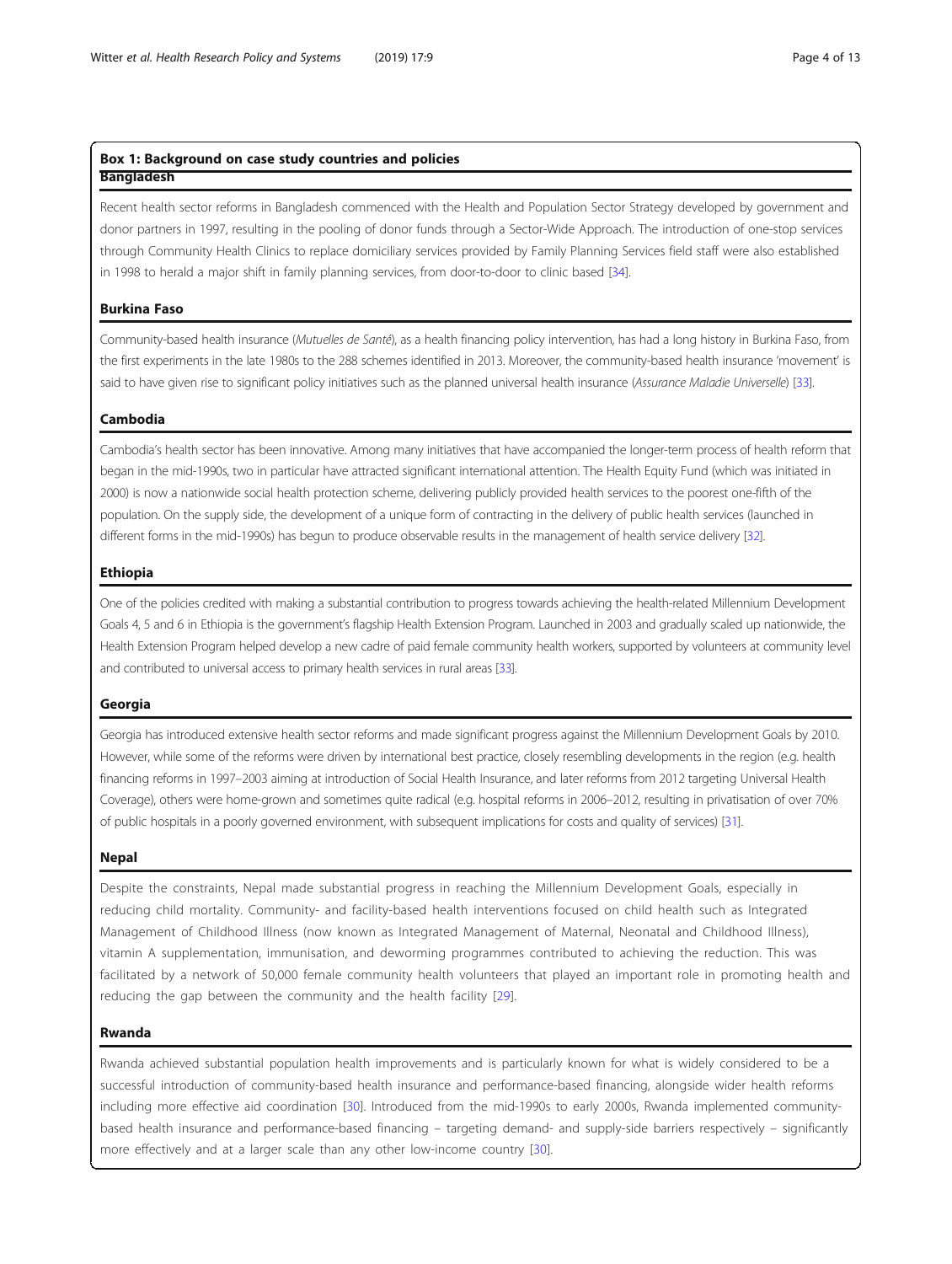## Box 1: Background on case study countries and policies **Bangladesh**

Recent health sector reforms in Bangladesh commenced with the Health and Population Sector Strategy developed by government and donor partners in 1997, resulting in the pooling of donor funds through a Sector-Wide Approach. The introduction of one-stop services through Community Health Clinics to replace domiciliary services provided by Family Planning Services field staff were also established in 1998 to herald a major shift in family planning services, from door-to-door to clinic based [\[34](#page-11-0)].

#### Burkina Faso

Community-based health insurance (Mutuelles de Santé), as a health financing policy intervention, has had a long history in Burkina Faso, from the first experiments in the late 1980s to the 288 schemes identified in 2013. Moreover, the community-based health insurance 'movement' is said to have given rise to significant policy initiatives such as the planned universal health insurance (Assurance Maladie Universelle) [\[33](#page-11-0)].

## Cambodia

Cambodia's health sector has been innovative. Among many initiatives that have accompanied the longer-term process of health reform that began in the mid-1990s, two in particular have attracted significant international attention. The Health Equity Fund (which was initiated in 2000) is now a nationwide social health protection scheme, delivering publicly provided health services to the poorest one-fifth of the population. On the supply side, the development of a unique form of contracting in the delivery of public health services (launched in different forms in the mid-1990s) has begun to produce observable results in the management of health service delivery [\[32](#page-11-0)].

## Ethiopia

One of the policies credited with making a substantial contribution to progress towards achieving the health-related Millennium Development Goals 4, 5 and 6 in Ethiopia is the government's flagship Health Extension Program. Launched in 2003 and gradually scaled up nationwide, the Health Extension Program helped develop a new cadre of paid female community health workers, supported by volunteers at community level and contributed to universal access to primary health services in rural areas [\[33](#page-11-0)].

## Georgia

Georgia has introduced extensive health sector reforms and made significant progress against the Millennium Development Goals by 2010. However, while some of the reforms were driven by international best practice, closely resembling developments in the region (e.g. health financing reforms in 1997–2003 aiming at introduction of Social Health Insurance, and later reforms from 2012 targeting Universal Health Coverage), others were home-grown and sometimes quite radical (e.g. hospital reforms in 2006–2012, resulting in privatisation of over 70% of public hospitals in a poorly governed environment, with subsequent implications for costs and quality of services) [[31\]](#page-11-0).

#### Nepal

Despite the constraints, Nepal made substantial progress in reaching the Millennium Development Goals, especially in reducing child mortality. Community- and facility-based health interventions focused on child health such as Integrated Management of Childhood Illness (now known as Integrated Management of Maternal, Neonatal and Childhood Illness), vitamin A supplementation, immunisation, and deworming programmes contributed to achieving the reduction. This was facilitated by a network of 50,000 female community health volunteers that played an important role in promoting health and reducing the gap between the community and the health facility [[29](#page-11-0)].

## Rwanda

Rwanda achieved substantial population health improvements and is particularly known for what is widely considered to be a successful introduction of community-based health insurance and performance-based financing, alongside wider health reforms including more effective aid coordination [[30](#page-11-0)]. Introduced from the mid-1990s to early 2000s, Rwanda implemented communitybased health insurance and performance-based financing – targeting demand- and supply-side barriers respectively – significantly more effectively and at a larger scale than any other low-income country [[30](#page-11-0)].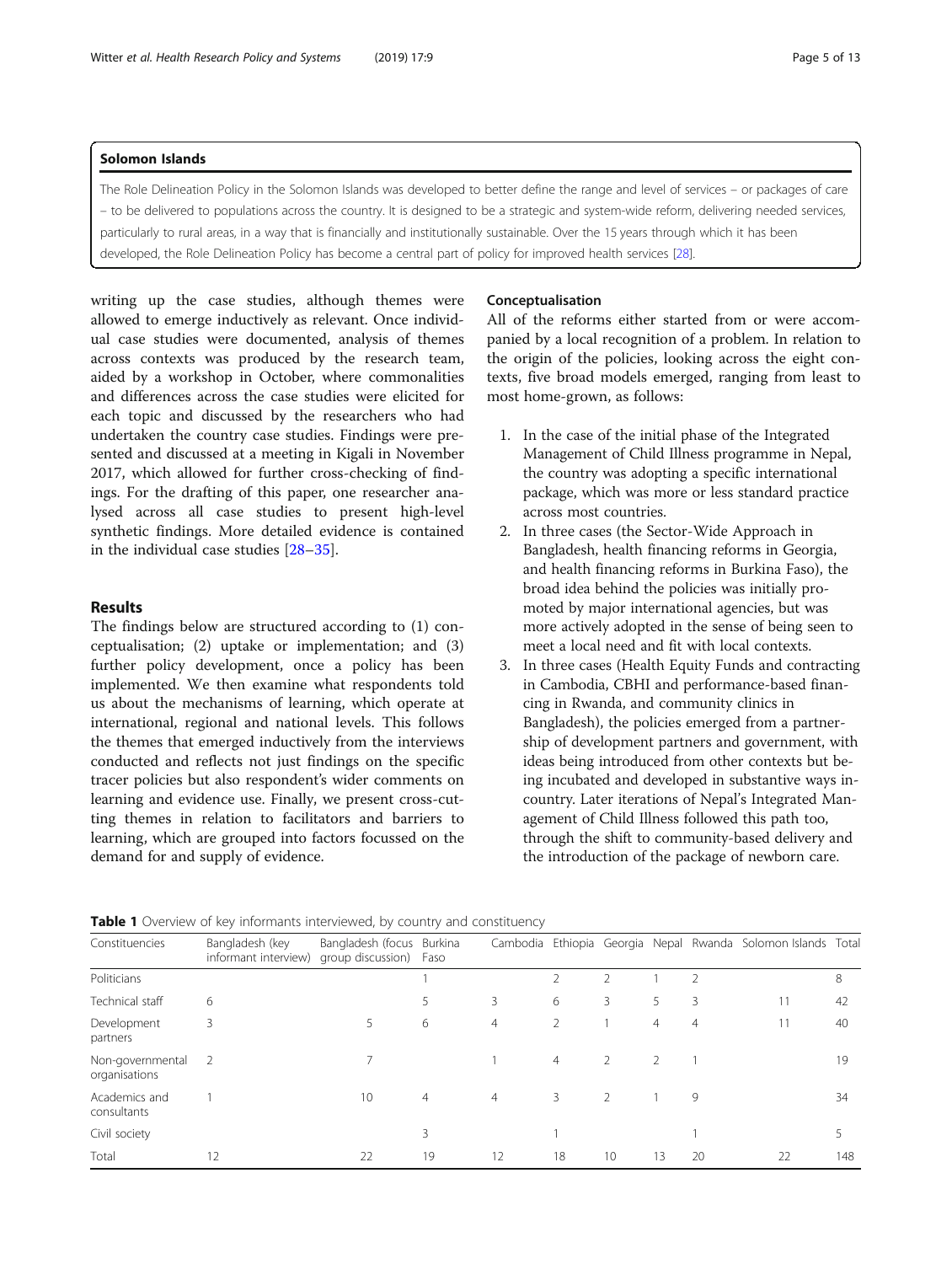#### <span id="page-4-0"></span>Solomon Islands

The Role Delineation Policy in the Solomon Islands was developed to better define the range and level of services – or packages of care – to be delivered to populations across the country. It is designed to be a strategic and system-wide reform, delivering needed services, particularly to rural areas, in a way that is financially and institutionally sustainable. Over the 15 years through which it has been developed, the Role Delineation Policy has become a central part of policy for improved health services [\[28](#page-11-0)].

writing up the case studies, although themes were allowed to emerge inductively as relevant. Once individual case studies were documented, analysis of themes across contexts was produced by the research team, aided by a workshop in October, where commonalities and differences across the case studies were elicited for each topic and discussed by the researchers who had undertaken the country case studies. Findings were presented and discussed at a meeting in Kigali in November 2017, which allowed for further cross-checking of findings. For the drafting of this paper, one researcher analysed across all case studies to present high-level synthetic findings. More detailed evidence is contained in the individual case studies [\[28](#page-11-0)–[35\]](#page-11-0).

## Results

The findings below are structured according to (1) conceptualisation; (2) uptake or implementation; and (3) further policy development, once a policy has been implemented. We then examine what respondents told us about the mechanisms of learning, which operate at international, regional and national levels. This follows the themes that emerged inductively from the interviews conducted and reflects not just findings on the specific tracer policies but also respondent's wider comments on learning and evidence use. Finally, we present cross-cutting themes in relation to facilitators and barriers to learning, which are grouped into factors focussed on the demand for and supply of evidence.

#### Conceptualisation

All of the reforms either started from or were accompanied by a local recognition of a problem. In relation to the origin of the policies, looking across the eight contexts, five broad models emerged, ranging from least to most home-grown, as follows:

- 1. In the case of the initial phase of the Integrated Management of Child Illness programme in Nepal, the country was adopting a specific international package, which was more or less standard practice across most countries.
- 2. In three cases (the Sector-Wide Approach in Bangladesh, health financing reforms in Georgia, and health financing reforms in Burkina Faso), the broad idea behind the policies was initially promoted by major international agencies, but was more actively adopted in the sense of being seen to meet a local need and fit with local contexts.
- 3. In three cases (Health Equity Funds and contracting in Cambodia, CBHI and performance-based financing in Rwanda, and community clinics in Bangladesh), the policies emerged from a partnership of development partners and government, with ideas being introduced from other contexts but being incubated and developed in substantive ways incountry. Later iterations of Nepal's Integrated Management of Child Illness followed this path too, through the shift to community-based delivery and the introduction of the package of newborn care.

|  | Table 1 Overview of key informants interviewed, by country and constituency |
|--|-----------------------------------------------------------------------------|
|--|-----------------------------------------------------------------------------|

| Constituencies                    | Bangladesh (key<br>informant interview) | Bangladesh (focus Burkina<br>group discussion) | Faso           |                |                |               |    |                | Cambodia Ethiopia Georgia Nepal Rwanda Solomon Islands Total |     |
|-----------------------------------|-----------------------------------------|------------------------------------------------|----------------|----------------|----------------|---------------|----|----------------|--------------------------------------------------------------|-----|
| Politicians                       |                                         |                                                |                |                |                |               |    |                |                                                              | 8   |
| Technical staff                   | 6                                       |                                                | 5              | 3              | 6              | 3             | 5. | 3              | 11                                                           | 42  |
| Development<br>partners           | 3                                       | 5                                              | 6              | $\overline{4}$ | 2              |               | 4  | $\overline{4}$ | 11                                                           | 40  |
| Non-governmental<br>organisations | -2                                      |                                                |                |                | $\overline{4}$ | $\mathcal{P}$ |    |                |                                                              | 19  |
| Academics and<br>consultants      |                                         | 10                                             | $\overline{4}$ | $\overline{4}$ | 3              | 2             |    | 9              |                                                              | 34  |
| Civil society                     |                                         |                                                | 3              |                |                |               |    |                |                                                              |     |
| Total                             | 12                                      | 22                                             | 19             | 12             | 18             | 10            | 13 | 20             | 22                                                           | 148 |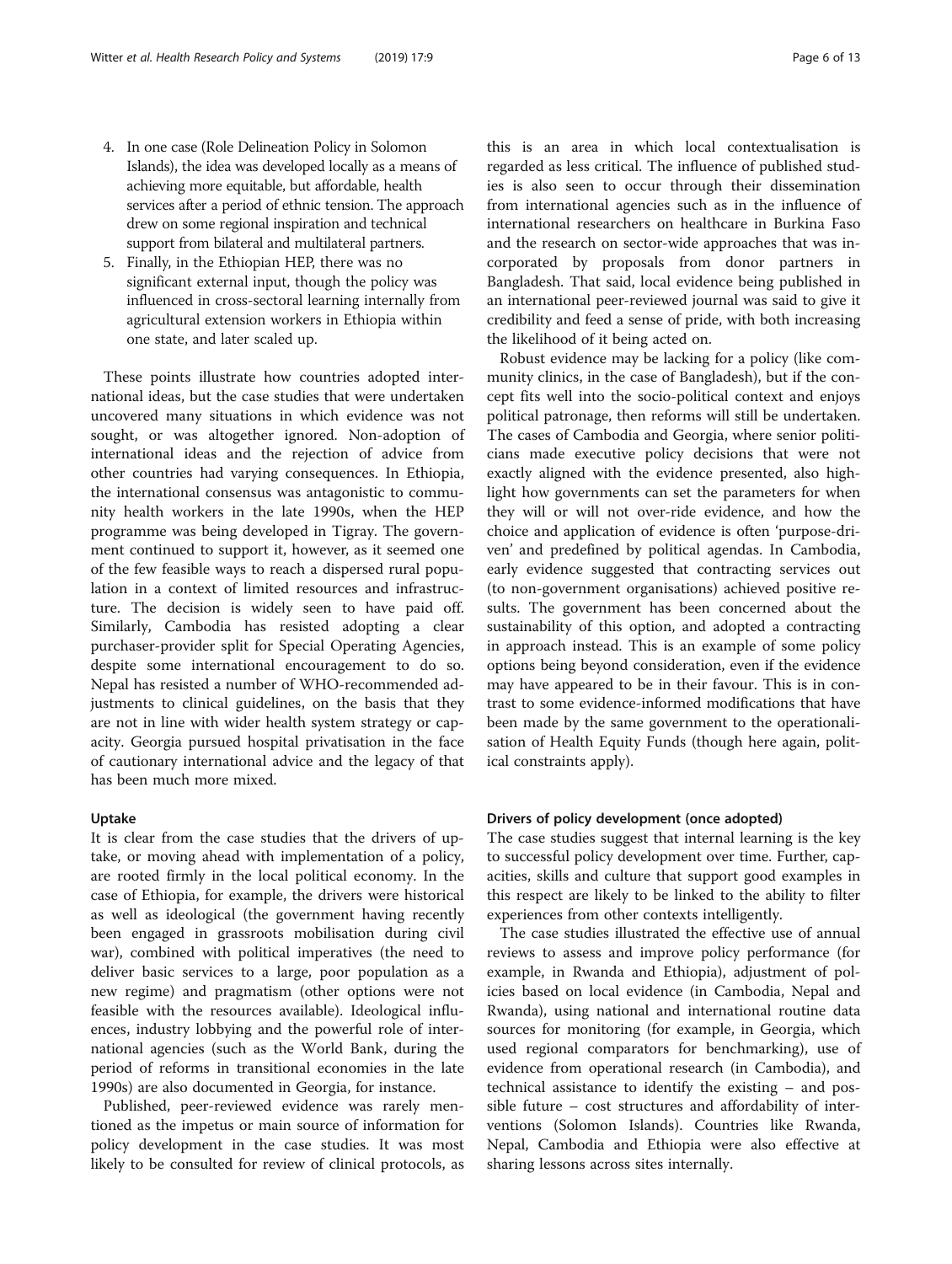- 4. In one case (Role Delineation Policy in Solomon Islands), the idea was developed locally as a means of achieving more equitable, but affordable, health services after a period of ethnic tension. The approach drew on some regional inspiration and technical support from bilateral and multilateral partners.
- 5. Finally, in the Ethiopian HEP, there was no significant external input, though the policy was influenced in cross-sectoral learning internally from agricultural extension workers in Ethiopia within one state, and later scaled up.

These points illustrate how countries adopted international ideas, but the case studies that were undertaken uncovered many situations in which evidence was not sought, or was altogether ignored. Non-adoption of international ideas and the rejection of advice from other countries had varying consequences. In Ethiopia, the international consensus was antagonistic to community health workers in the late 1990s, when the HEP programme was being developed in Tigray. The government continued to support it, however, as it seemed one of the few feasible ways to reach a dispersed rural population in a context of limited resources and infrastructure. The decision is widely seen to have paid off. Similarly, Cambodia has resisted adopting a clear purchaser-provider split for Special Operating Agencies, despite some international encouragement to do so. Nepal has resisted a number of WHO-recommended adjustments to clinical guidelines, on the basis that they are not in line with wider health system strategy or capacity. Georgia pursued hospital privatisation in the face of cautionary international advice and the legacy of that has been much more mixed.

## Uptake

It is clear from the case studies that the drivers of uptake, or moving ahead with implementation of a policy, are rooted firmly in the local political economy. In the case of Ethiopia, for example, the drivers were historical as well as ideological (the government having recently been engaged in grassroots mobilisation during civil war), combined with political imperatives (the need to deliver basic services to a large, poor population as a new regime) and pragmatism (other options were not feasible with the resources available). Ideological influences, industry lobbying and the powerful role of international agencies (such as the World Bank, during the period of reforms in transitional economies in the late 1990s) are also documented in Georgia, for instance.

Published, peer-reviewed evidence was rarely mentioned as the impetus or main source of information for policy development in the case studies. It was most likely to be consulted for review of clinical protocols, as

this is an area in which local contextualisation is regarded as less critical. The influence of published studies is also seen to occur through their dissemination from international agencies such as in the influence of international researchers on healthcare in Burkina Faso and the research on sector-wide approaches that was incorporated by proposals from donor partners in Bangladesh. That said, local evidence being published in an international peer-reviewed journal was said to give it credibility and feed a sense of pride, with both increasing the likelihood of it being acted on.

Robust evidence may be lacking for a policy (like community clinics, in the case of Bangladesh), but if the concept fits well into the socio-political context and enjoys political patronage, then reforms will still be undertaken. The cases of Cambodia and Georgia, where senior politicians made executive policy decisions that were not exactly aligned with the evidence presented, also highlight how governments can set the parameters for when they will or will not over-ride evidence, and how the choice and application of evidence is often 'purpose-driven' and predefined by political agendas. In Cambodia, early evidence suggested that contracting services out (to non-government organisations) achieved positive results. The government has been concerned about the sustainability of this option, and adopted a contracting in approach instead. This is an example of some policy options being beyond consideration, even if the evidence may have appeared to be in their favour. This is in contrast to some evidence-informed modifications that have been made by the same government to the operationalisation of Health Equity Funds (though here again, political constraints apply).

## Drivers of policy development (once adopted)

The case studies suggest that internal learning is the key to successful policy development over time. Further, capacities, skills and culture that support good examples in this respect are likely to be linked to the ability to filter experiences from other contexts intelligently.

The case studies illustrated the effective use of annual reviews to assess and improve policy performance (for example, in Rwanda and Ethiopia), adjustment of policies based on local evidence (in Cambodia, Nepal and Rwanda), using national and international routine data sources for monitoring (for example, in Georgia, which used regional comparators for benchmarking), use of evidence from operational research (in Cambodia), and technical assistance to identify the existing – and possible future – cost structures and affordability of interventions (Solomon Islands). Countries like Rwanda, Nepal, Cambodia and Ethiopia were also effective at sharing lessons across sites internally.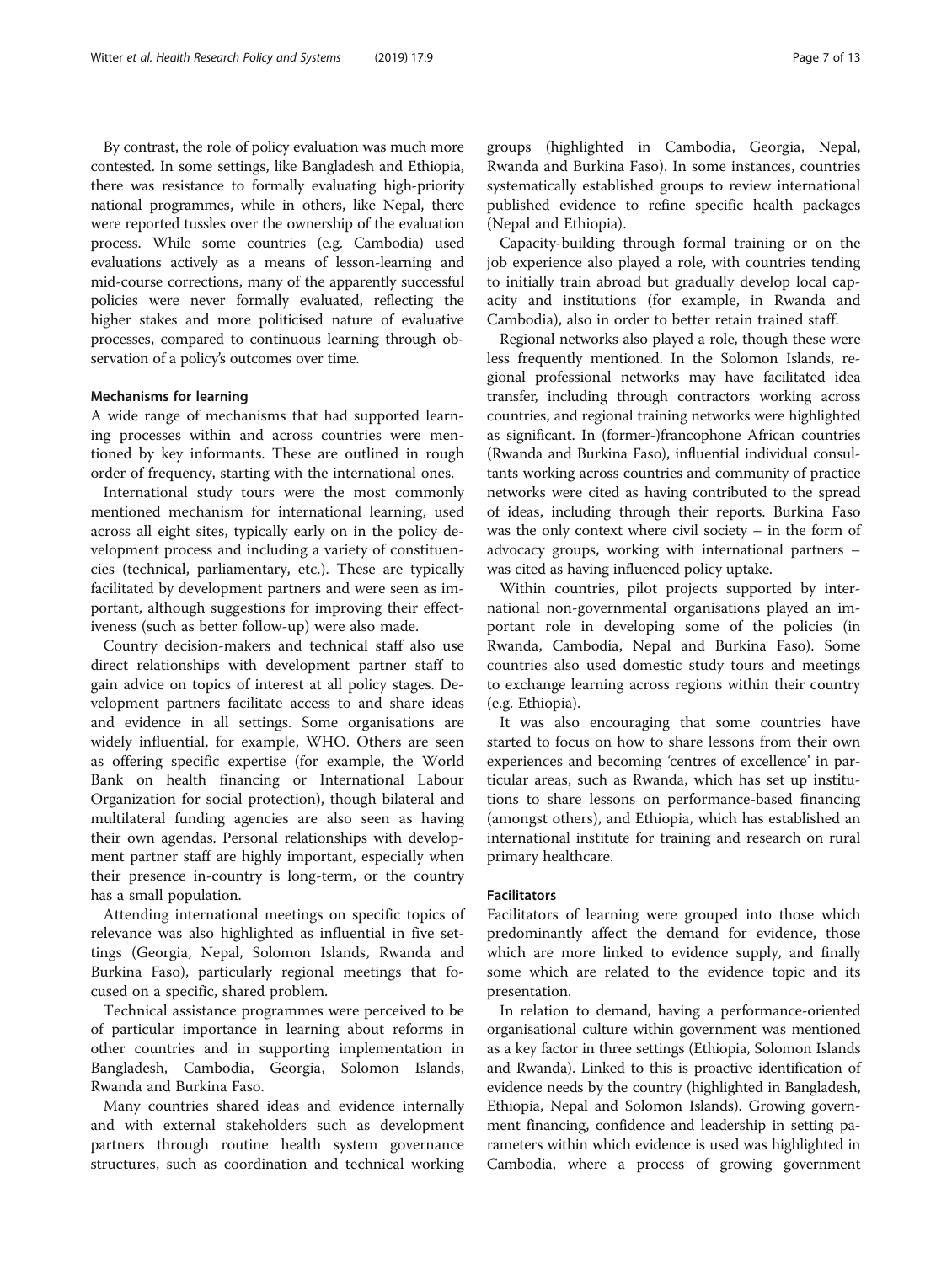By contrast, the role of policy evaluation was much more contested. In some settings, like Bangladesh and Ethiopia, there was resistance to formally evaluating high-priority national programmes, while in others, like Nepal, there were reported tussles over the ownership of the evaluation process. While some countries (e.g. Cambodia) used evaluations actively as a means of lesson-learning and mid-course corrections, many of the apparently successful policies were never formally evaluated, reflecting the higher stakes and more politicised nature of evaluative processes, compared to continuous learning through observation of a policy's outcomes over time.

#### Mechanisms for learning

A wide range of mechanisms that had supported learning processes within and across countries were mentioned by key informants. These are outlined in rough order of frequency, starting with the international ones.

International study tours were the most commonly mentioned mechanism for international learning, used across all eight sites, typically early on in the policy development process and including a variety of constituencies (technical, parliamentary, etc.). These are typically facilitated by development partners and were seen as important, although suggestions for improving their effectiveness (such as better follow-up) were also made.

Country decision-makers and technical staff also use direct relationships with development partner staff to gain advice on topics of interest at all policy stages. Development partners facilitate access to and share ideas and evidence in all settings. Some organisations are widely influential, for example, WHO. Others are seen as offering specific expertise (for example, the World Bank on health financing or International Labour Organization for social protection), though bilateral and multilateral funding agencies are also seen as having their own agendas. Personal relationships with development partner staff are highly important, especially when their presence in-country is long-term, or the country has a small population.

Attending international meetings on specific topics of relevance was also highlighted as influential in five settings (Georgia, Nepal, Solomon Islands, Rwanda and Burkina Faso), particularly regional meetings that focused on a specific, shared problem.

Technical assistance programmes were perceived to be of particular importance in learning about reforms in other countries and in supporting implementation in Bangladesh, Cambodia, Georgia, Solomon Islands, Rwanda and Burkina Faso.

Many countries shared ideas and evidence internally and with external stakeholders such as development partners through routine health system governance structures, such as coordination and technical working groups (highlighted in Cambodia, Georgia, Nepal, Rwanda and Burkina Faso). In some instances, countries systematically established groups to review international published evidence to refine specific health packages (Nepal and Ethiopia).

Capacity-building through formal training or on the job experience also played a role, with countries tending to initially train abroad but gradually develop local capacity and institutions (for example, in Rwanda and Cambodia), also in order to better retain trained staff.

Regional networks also played a role, though these were less frequently mentioned. In the Solomon Islands, regional professional networks may have facilitated idea transfer, including through contractors working across countries, and regional training networks were highlighted as significant. In (former-)francophone African countries (Rwanda and Burkina Faso), influential individual consultants working across countries and community of practice networks were cited as having contributed to the spread of ideas, including through their reports. Burkina Faso was the only context where civil society – in the form of advocacy groups, working with international partners – was cited as having influenced policy uptake.

Within countries, pilot projects supported by international non-governmental organisations played an important role in developing some of the policies (in Rwanda, Cambodia, Nepal and Burkina Faso). Some countries also used domestic study tours and meetings to exchange learning across regions within their country (e.g. Ethiopia).

It was also encouraging that some countries have started to focus on how to share lessons from their own experiences and becoming 'centres of excellence' in particular areas, such as Rwanda, which has set up institutions to share lessons on performance-based financing (amongst others), and Ethiopia, which has established an international institute for training and research on rural primary healthcare.

#### Facilitators

Facilitators of learning were grouped into those which predominantly affect the demand for evidence, those which are more linked to evidence supply, and finally some which are related to the evidence topic and its presentation.

In relation to demand, having a performance-oriented organisational culture within government was mentioned as a key factor in three settings (Ethiopia, Solomon Islands and Rwanda). Linked to this is proactive identification of evidence needs by the country (highlighted in Bangladesh, Ethiopia, Nepal and Solomon Islands). Growing government financing, confidence and leadership in setting parameters within which evidence is used was highlighted in Cambodia, where a process of growing government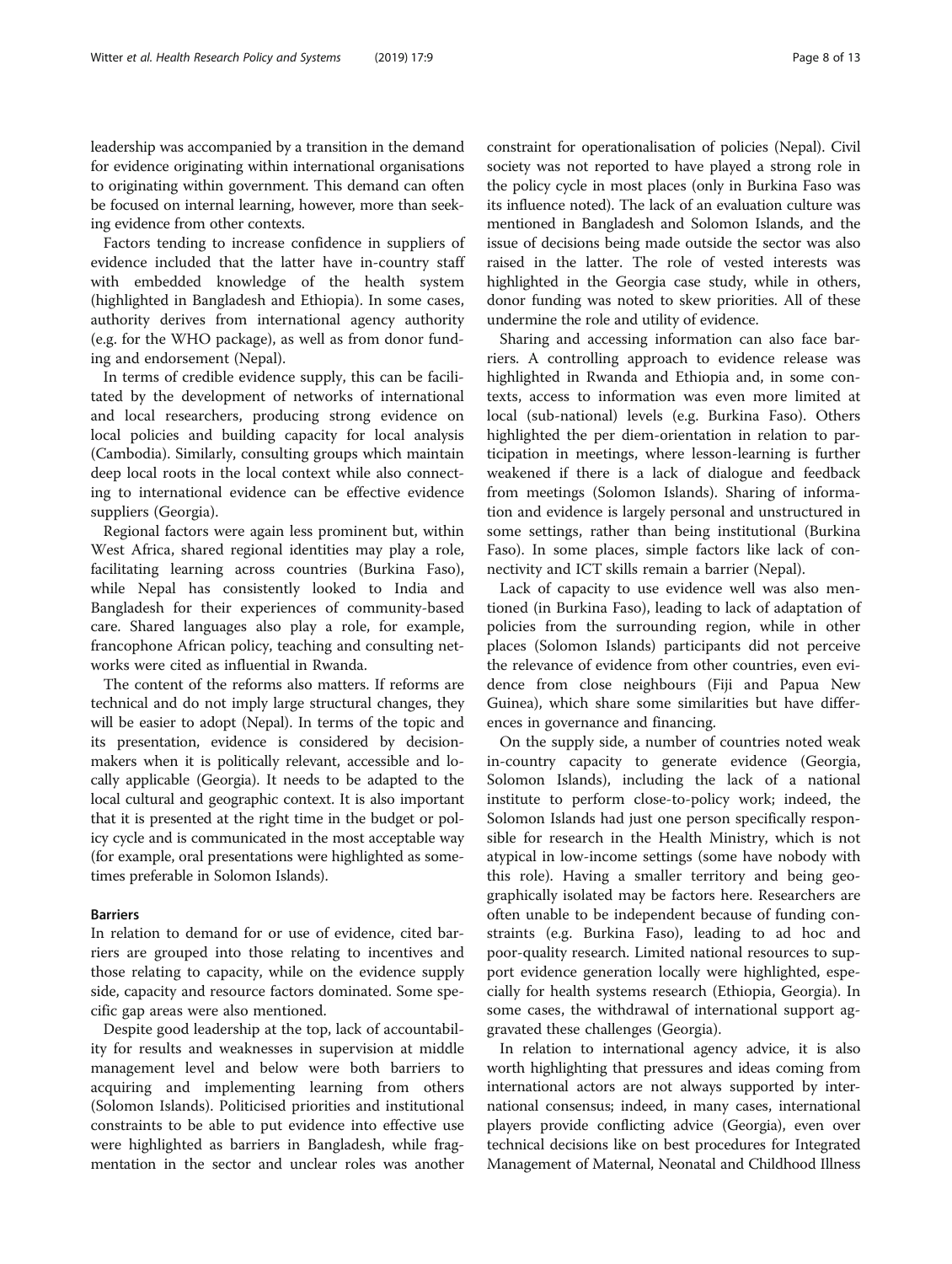leadership was accompanied by a transition in the demand for evidence originating within international organisations to originating within government. This demand can often be focused on internal learning, however, more than seeking evidence from other contexts.

Factors tending to increase confidence in suppliers of evidence included that the latter have in-country staff with embedded knowledge of the health system (highlighted in Bangladesh and Ethiopia). In some cases, authority derives from international agency authority (e.g. for the WHO package), as well as from donor funding and endorsement (Nepal).

In terms of credible evidence supply, this can be facilitated by the development of networks of international and local researchers, producing strong evidence on local policies and building capacity for local analysis (Cambodia). Similarly, consulting groups which maintain deep local roots in the local context while also connecting to international evidence can be effective evidence suppliers (Georgia).

Regional factors were again less prominent but, within West Africa, shared regional identities may play a role, facilitating learning across countries (Burkina Faso), while Nepal has consistently looked to India and Bangladesh for their experiences of community-based care. Shared languages also play a role, for example, francophone African policy, teaching and consulting networks were cited as influential in Rwanda.

The content of the reforms also matters. If reforms are technical and do not imply large structural changes, they will be easier to adopt (Nepal). In terms of the topic and its presentation, evidence is considered by decisionmakers when it is politically relevant, accessible and locally applicable (Georgia). It needs to be adapted to the local cultural and geographic context. It is also important that it is presented at the right time in the budget or policy cycle and is communicated in the most acceptable way (for example, oral presentations were highlighted as sometimes preferable in Solomon Islands).

## Barriers

In relation to demand for or use of evidence, cited barriers are grouped into those relating to incentives and those relating to capacity, while on the evidence supply side, capacity and resource factors dominated. Some specific gap areas were also mentioned.

Despite good leadership at the top, lack of accountability for results and weaknesses in supervision at middle management level and below were both barriers to acquiring and implementing learning from others (Solomon Islands). Politicised priorities and institutional constraints to be able to put evidence into effective use were highlighted as barriers in Bangladesh, while fragmentation in the sector and unclear roles was another constraint for operationalisation of policies (Nepal). Civil society was not reported to have played a strong role in the policy cycle in most places (only in Burkina Faso was its influence noted). The lack of an evaluation culture was mentioned in Bangladesh and Solomon Islands, and the issue of decisions being made outside the sector was also raised in the latter. The role of vested interests was highlighted in the Georgia case study, while in others, donor funding was noted to skew priorities. All of these undermine the role and utility of evidence.

Sharing and accessing information can also face barriers. A controlling approach to evidence release was highlighted in Rwanda and Ethiopia and, in some contexts, access to information was even more limited at local (sub-national) levels (e.g. Burkina Faso). Others highlighted the per diem-orientation in relation to participation in meetings, where lesson-learning is further weakened if there is a lack of dialogue and feedback from meetings (Solomon Islands). Sharing of information and evidence is largely personal and unstructured in some settings, rather than being institutional (Burkina Faso). In some places, simple factors like lack of connectivity and ICT skills remain a barrier (Nepal).

Lack of capacity to use evidence well was also mentioned (in Burkina Faso), leading to lack of adaptation of policies from the surrounding region, while in other places (Solomon Islands) participants did not perceive the relevance of evidence from other countries, even evidence from close neighbours (Fiji and Papua New Guinea), which share some similarities but have differences in governance and financing.

On the supply side, a number of countries noted weak in-country capacity to generate evidence (Georgia, Solomon Islands), including the lack of a national institute to perform close-to-policy work; indeed, the Solomon Islands had just one person specifically responsible for research in the Health Ministry, which is not atypical in low-income settings (some have nobody with this role). Having a smaller territory and being geographically isolated may be factors here. Researchers are often unable to be independent because of funding constraints (e.g. Burkina Faso), leading to ad hoc and poor-quality research. Limited national resources to support evidence generation locally were highlighted, especially for health systems research (Ethiopia, Georgia). In some cases, the withdrawal of international support aggravated these challenges (Georgia).

In relation to international agency advice, it is also worth highlighting that pressures and ideas coming from international actors are not always supported by international consensus; indeed, in many cases, international players provide conflicting advice (Georgia), even over technical decisions like on best procedures for Integrated Management of Maternal, Neonatal and Childhood Illness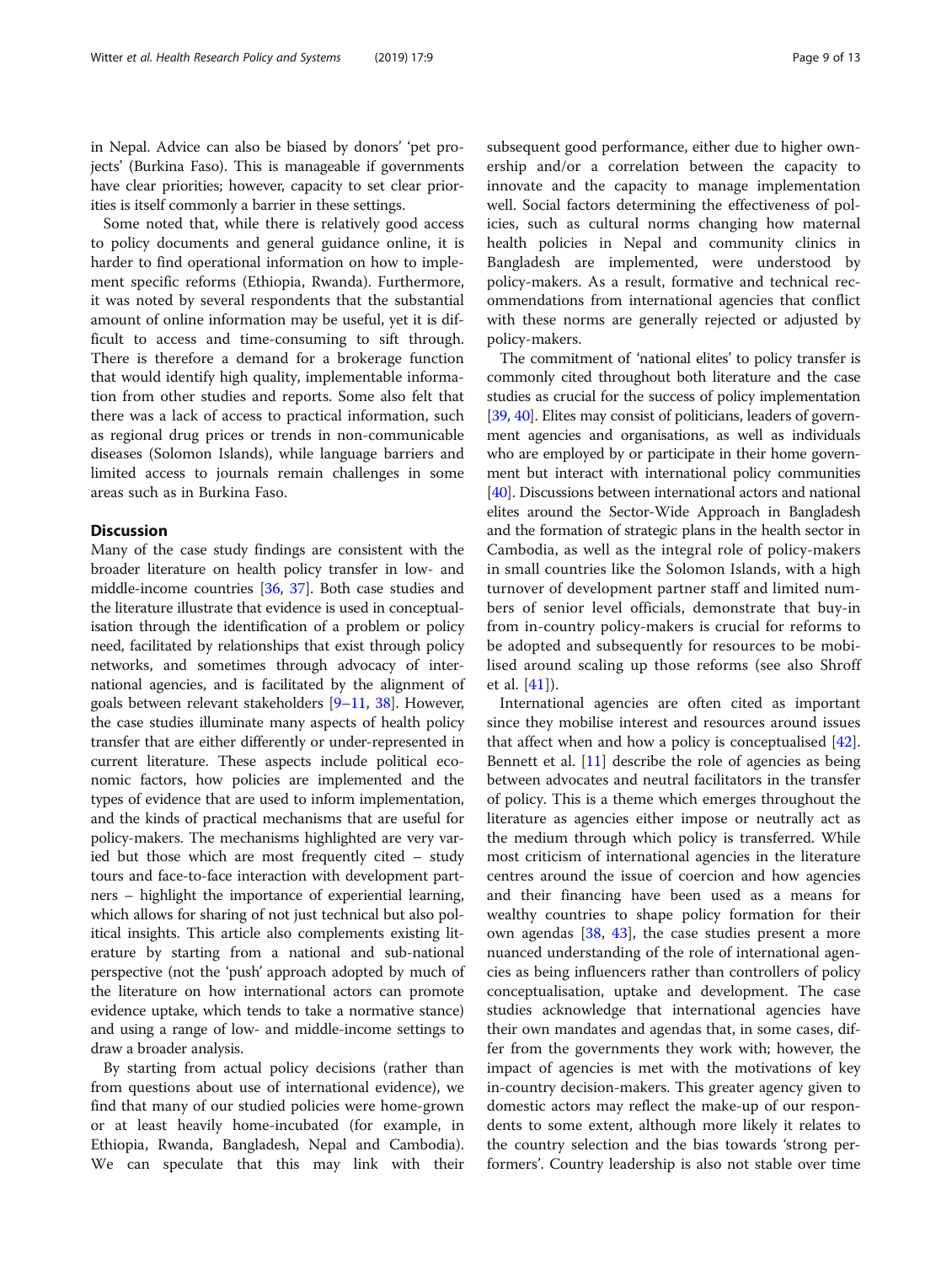in Nepal. Advice can also be biased by donors' 'pet projects' (Burkina Faso). This is manageable if governments have clear priorities; however, capacity to set clear priorities is itself commonly a barrier in these settings.

Some noted that, while there is relatively good access to policy documents and general guidance online, it is harder to find operational information on how to implement specific reforms (Ethiopia, Rwanda). Furthermore, it was noted by several respondents that the substantial amount of online information may be useful, yet it is difficult to access and time-consuming to sift through. There is therefore a demand for a brokerage function that would identify high quality, implementable information from other studies and reports. Some also felt that there was a lack of access to practical information, such as regional drug prices or trends in non-communicable diseases (Solomon Islands), while language barriers and limited access to journals remain challenges in some areas such as in Burkina Faso.

## **Discussion**

Many of the case study findings are consistent with the broader literature on health policy transfer in low- and middle-income countries [[36](#page-11-0), [37\]](#page-11-0). Both case studies and the literature illustrate that evidence is used in conceptualisation through the identification of a problem or policy need, facilitated by relationships that exist through policy networks, and sometimes through advocacy of international agencies, and is facilitated by the alignment of goals between relevant stakeholders [[9](#page-11-0)–[11](#page-11-0), [38](#page-11-0)]. However, the case studies illuminate many aspects of health policy transfer that are either differently or under-represented in current literature. These aspects include political economic factors, how policies are implemented and the types of evidence that are used to inform implementation, and the kinds of practical mechanisms that are useful for policy-makers. The mechanisms highlighted are very varied but those which are most frequently cited – study tours and face-to-face interaction with development partners – highlight the importance of experiential learning, which allows for sharing of not just technical but also political insights. This article also complements existing literature by starting from a national and sub-national perspective (not the 'push' approach adopted by much of the literature on how international actors can promote evidence uptake, which tends to take a normative stance) and using a range of low- and middle-income settings to draw a broader analysis.

By starting from actual policy decisions (rather than from questions about use of international evidence), we find that many of our studied policies were home-grown or at least heavily home-incubated (for example, in Ethiopia, Rwanda, Bangladesh, Nepal and Cambodia). We can speculate that this may link with their subsequent good performance, either due to higher ownership and/or a correlation between the capacity to innovate and the capacity to manage implementation well. Social factors determining the effectiveness of policies, such as cultural norms changing how maternal health policies in Nepal and community clinics in Bangladesh are implemented, were understood by policy-makers. As a result, formative and technical recommendations from international agencies that conflict with these norms are generally rejected or adjusted by policy-makers.

The commitment of 'national elites' to policy transfer is commonly cited throughout both literature and the case studies as crucial for the success of policy implementation [[39](#page-11-0), [40](#page-11-0)]. Elites may consist of politicians, leaders of government agencies and organisations, as well as individuals who are employed by or participate in their home government but interact with international policy communities [[40](#page-11-0)]. Discussions between international actors and national elites around the Sector-Wide Approach in Bangladesh and the formation of strategic plans in the health sector in Cambodia, as well as the integral role of policy-makers in small countries like the Solomon Islands, with a high turnover of development partner staff and limited numbers of senior level officials, demonstrate that buy-in from in-country policy-makers is crucial for reforms to be adopted and subsequently for resources to be mobilised around scaling up those reforms (see also Shroff et al. [[41](#page-11-0)]).

International agencies are often cited as important since they mobilise interest and resources around issues that affect when and how a policy is conceptualised [\[42](#page-11-0)]. Bennett et al. [[11\]](#page-11-0) describe the role of agencies as being between advocates and neutral facilitators in the transfer of policy. This is a theme which emerges throughout the literature as agencies either impose or neutrally act as the medium through which policy is transferred. While most criticism of international agencies in the literature centres around the issue of coercion and how agencies and their financing have been used as a means for wealthy countries to shape policy formation for their own agendas [[38](#page-11-0), [43\]](#page-11-0), the case studies present a more nuanced understanding of the role of international agencies as being influencers rather than controllers of policy conceptualisation, uptake and development. The case studies acknowledge that international agencies have their own mandates and agendas that, in some cases, differ from the governments they work with; however, the impact of agencies is met with the motivations of key in-country decision-makers. This greater agency given to domestic actors may reflect the make-up of our respondents to some extent, although more likely it relates to the country selection and the bias towards 'strong performers'. Country leadership is also not stable over time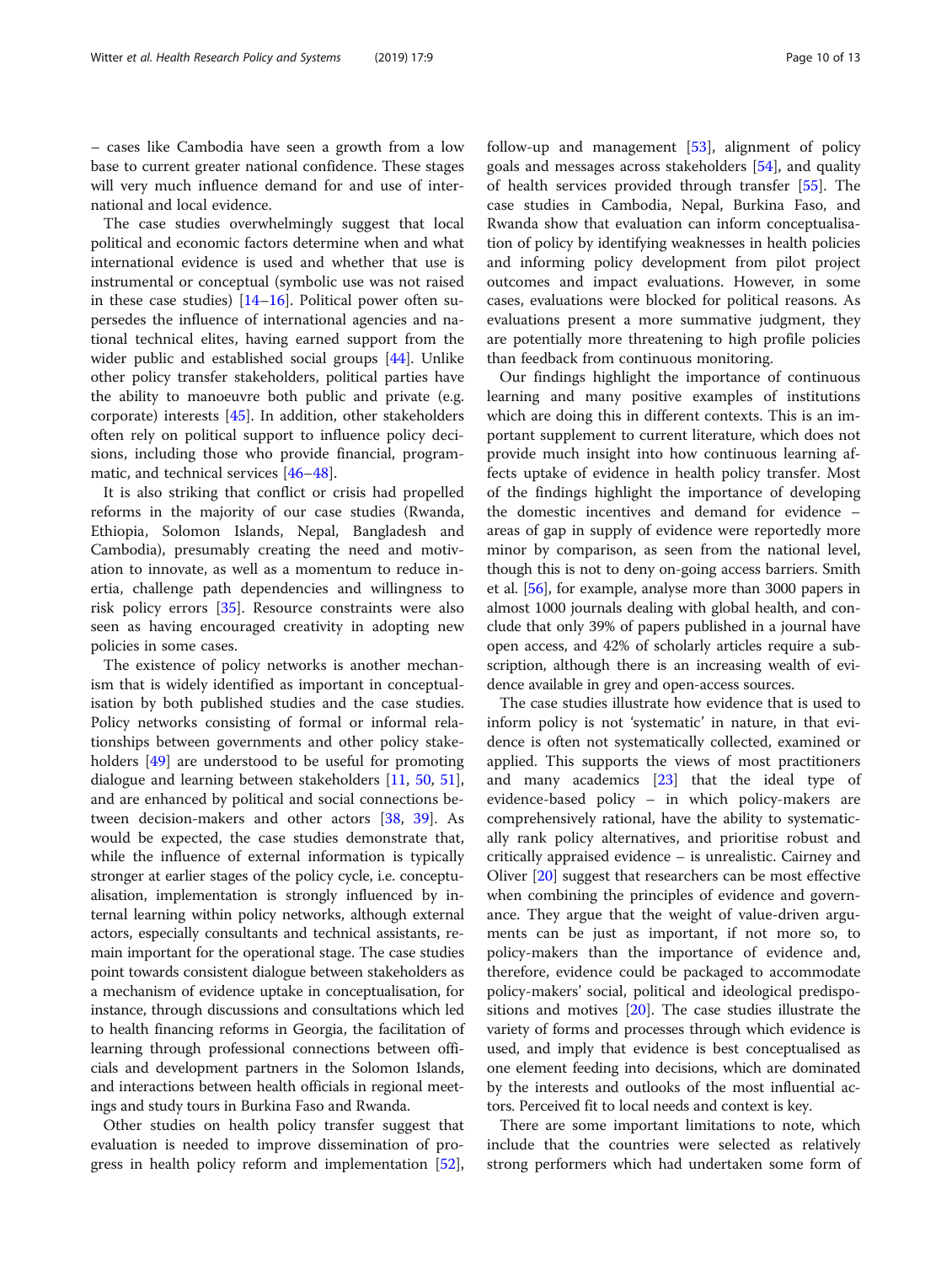– cases like Cambodia have seen a growth from a low base to current greater national confidence. These stages will very much influence demand for and use of international and local evidence.

The case studies overwhelmingly suggest that local political and economic factors determine when and what international evidence is used and whether that use is instrumental or conceptual (symbolic use was not raised in these case studies) [[14](#page-11-0)–[16](#page-11-0)]. Political power often supersedes the influence of international agencies and national technical elites, having earned support from the wider public and established social groups [\[44\]](#page-11-0). Unlike other policy transfer stakeholders, political parties have the ability to manoeuvre both public and private (e.g. corporate) interests [[45\]](#page-11-0). In addition, other stakeholders often rely on political support to influence policy decisions, including those who provide financial, programmatic, and technical services [\[46](#page-11-0)–[48\]](#page-11-0).

It is also striking that conflict or crisis had propelled reforms in the majority of our case studies (Rwanda, Ethiopia, Solomon Islands, Nepal, Bangladesh and Cambodia), presumably creating the need and motivation to innovate, as well as a momentum to reduce inertia, challenge path dependencies and willingness to risk policy errors [\[35](#page-11-0)]. Resource constraints were also seen as having encouraged creativity in adopting new policies in some cases.

The existence of policy networks is another mechanism that is widely identified as important in conceptualisation by both published studies and the case studies. Policy networks consisting of formal or informal relationships between governments and other policy stakeholders [[49\]](#page-11-0) are understood to be useful for promoting dialogue and learning between stakeholders [\[11](#page-11-0), [50,](#page-11-0) [51](#page-11-0)], and are enhanced by political and social connections between decision-makers and other actors [[38,](#page-11-0) [39\]](#page-11-0). As would be expected, the case studies demonstrate that, while the influence of external information is typically stronger at earlier stages of the policy cycle, i.e. conceptualisation, implementation is strongly influenced by internal learning within policy networks, although external actors, especially consultants and technical assistants, remain important for the operational stage. The case studies point towards consistent dialogue between stakeholders as a mechanism of evidence uptake in conceptualisation, for instance, through discussions and consultations which led to health financing reforms in Georgia, the facilitation of learning through professional connections between officials and development partners in the Solomon Islands, and interactions between health officials in regional meetings and study tours in Burkina Faso and Rwanda.

Other studies on health policy transfer suggest that evaluation is needed to improve dissemination of progress in health policy reform and implementation [\[52](#page-11-0)], follow-up and management [[53](#page-12-0)], alignment of policy goals and messages across stakeholders [[54\]](#page-12-0), and quality of health services provided through transfer [\[55](#page-12-0)]. The case studies in Cambodia, Nepal, Burkina Faso, and Rwanda show that evaluation can inform conceptualisation of policy by identifying weaknesses in health policies and informing policy development from pilot project outcomes and impact evaluations. However, in some cases, evaluations were blocked for political reasons. As evaluations present a more summative judgment, they are potentially more threatening to high profile policies than feedback from continuous monitoring.

Our findings highlight the importance of continuous learning and many positive examples of institutions which are doing this in different contexts. This is an important supplement to current literature, which does not provide much insight into how continuous learning affects uptake of evidence in health policy transfer. Most of the findings highlight the importance of developing the domestic incentives and demand for evidence – areas of gap in supply of evidence were reportedly more minor by comparison, as seen from the national level, though this is not to deny on-going access barriers. Smith et al. [\[56](#page-12-0)], for example, analyse more than 3000 papers in almost 1000 journals dealing with global health, and conclude that only 39% of papers published in a journal have open access, and 42% of scholarly articles require a subscription, although there is an increasing wealth of evidence available in grey and open-access sources.

The case studies illustrate how evidence that is used to inform policy is not 'systematic' in nature, in that evidence is often not systematically collected, examined or applied. This supports the views of most practitioners and many academics [[23](#page-11-0)] that the ideal type of evidence-based policy – in which policy-makers are comprehensively rational, have the ability to systematically rank policy alternatives, and prioritise robust and critically appraised evidence – is unrealistic. Cairney and Oliver [\[20\]](#page-11-0) suggest that researchers can be most effective when combining the principles of evidence and governance. They argue that the weight of value-driven arguments can be just as important, if not more so, to policy-makers than the importance of evidence and, therefore, evidence could be packaged to accommodate policy-makers' social, political and ideological predispositions and motives [\[20](#page-11-0)]. The case studies illustrate the variety of forms and processes through which evidence is used, and imply that evidence is best conceptualised as one element feeding into decisions, which are dominated by the interests and outlooks of the most influential actors. Perceived fit to local needs and context is key.

There are some important limitations to note, which include that the countries were selected as relatively strong performers which had undertaken some form of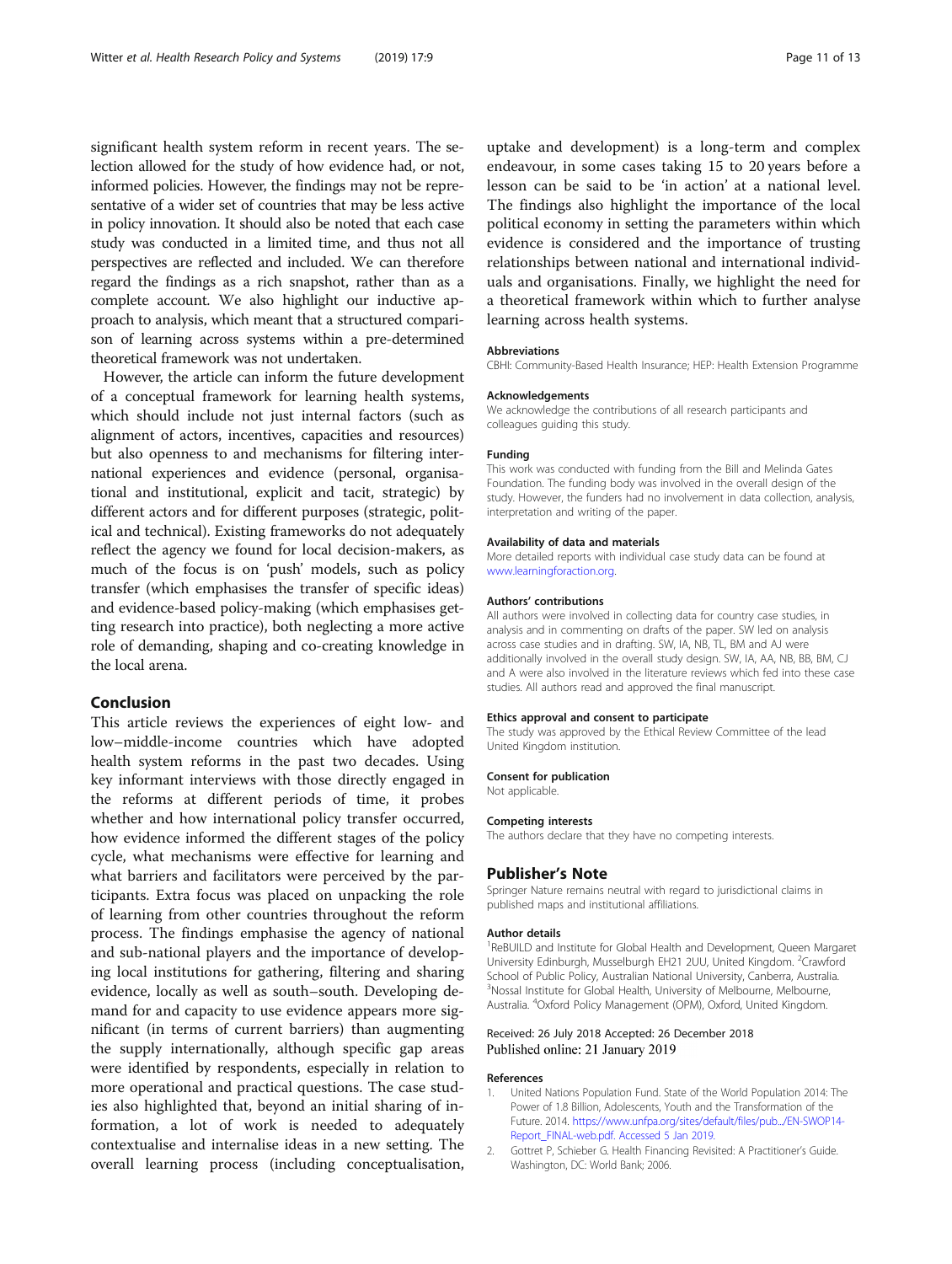<span id="page-10-0"></span>significant health system reform in recent years. The selection allowed for the study of how evidence had, or not, informed policies. However, the findings may not be representative of a wider set of countries that may be less active in policy innovation. It should also be noted that each case study was conducted in a limited time, and thus not all perspectives are reflected and included. We can therefore regard the findings as a rich snapshot, rather than as a complete account. We also highlight our inductive approach to analysis, which meant that a structured comparison of learning across systems within a pre-determined theoretical framework was not undertaken.

However, the article can inform the future development of a conceptual framework for learning health systems, which should include not just internal factors (such as alignment of actors, incentives, capacities and resources) but also openness to and mechanisms for filtering international experiences and evidence (personal, organisational and institutional, explicit and tacit, strategic) by different actors and for different purposes (strategic, political and technical). Existing frameworks do not adequately reflect the agency we found for local decision-makers, as much of the focus is on 'push' models, such as policy transfer (which emphasises the transfer of specific ideas) and evidence-based policy-making (which emphasises getting research into practice), both neglecting a more active role of demanding, shaping and co-creating knowledge in the local arena.

#### Conclusion

This article reviews the experiences of eight low- and low–middle-income countries which have adopted health system reforms in the past two decades. Using key informant interviews with those directly engaged in the reforms at different periods of time, it probes whether and how international policy transfer occurred, how evidence informed the different stages of the policy cycle, what mechanisms were effective for learning and what barriers and facilitators were perceived by the participants. Extra focus was placed on unpacking the role of learning from other countries throughout the reform process. The findings emphasise the agency of national and sub-national players and the importance of developing local institutions for gathering, filtering and sharing evidence, locally as well as south–south. Developing demand for and capacity to use evidence appears more significant (in terms of current barriers) than augmenting the supply internationally, although specific gap areas were identified by respondents, especially in relation to more operational and practical questions. The case studies also highlighted that, beyond an initial sharing of information, a lot of work is needed to adequately contextualise and internalise ideas in a new setting. The overall learning process (including conceptualisation,

uptake and development) is a long-term and complex endeavour, in some cases taking 15 to 20 years before a lesson can be said to be 'in action' at a national level. The findings also highlight the importance of the local political economy in setting the parameters within which evidence is considered and the importance of trusting relationships between national and international individuals and organisations. Finally, we highlight the need for a theoretical framework within which to further analyse learning across health systems.

#### Abbreviations

CBHI: Community-Based Health Insurance; HEP: Health Extension Programme

#### Acknowledgements

We acknowledge the contributions of all research participants and colleagues guiding this study.

#### Funding

This work was conducted with funding from the Bill and Melinda Gates Foundation. The funding body was involved in the overall design of the study. However, the funders had no involvement in data collection, analysis, interpretation and writing of the paper.

#### Availability of data and materials

More detailed reports with individual case study data can be found at [www.learningforaction.org.](http://www.learningforaction.org)

#### Authors' contributions

All authors were involved in collecting data for country case studies, in analysis and in commenting on drafts of the paper. SW led on analysis across case studies and in drafting. SW, IA, NB, TL, BM and AJ were additionally involved in the overall study design. SW, IA, AA, NB, BB, BM, CJ and A were also involved in the literature reviews which fed into these case studies. All authors read and approved the final manuscript.

#### Ethics approval and consent to participate

The study was approved by the Ethical Review Committee of the lead United Kingdom institution.

#### Consent for publication

Not applicable.

#### Competing interests

The authors declare that they have no competing interests.

#### Publisher's Note

Springer Nature remains neutral with regard to jurisdictional claims in published maps and institutional affiliations.

#### Author details

<sup>1</sup>ReBUILD and Institute for Global Health and Development, Queen Margaret University Edinburgh, Musselburgh EH21 2UU, United Kingdom. <sup>2</sup>Crawford School of Public Policy, Australian National University, Canberra, Australia. <sup>3</sup>Nossal Institute for Global Health, University of Melbourne, Melbourne, Australia. <sup>4</sup>Oxford Policy Management (OPM), Oxford, United Kingdom

## Received: 26 July 2018 Accepted: 26 December 2018 Published online: 21 January 2019

#### References

- 1. United Nations Population Fund. State of the World Population 2014: The Power of 1.8 Billion, Adolescents, Youth and the Transformation of the Future. 2014. [https://www.unfpa.org/sites/default/files/pub.../EN-SWOP14-](https://www.unfpa.org/sites/default/files/pub/EN-SWOP14-Report_FINAL-web.pdf.%20Accessed%205%20Jan%202019) [Report\\_FINAL-web.pdf. Accessed 5 Jan 2019.](https://www.unfpa.org/sites/default/files/pub/EN-SWOP14-Report_FINAL-web.pdf.%20Accessed%205%20Jan%202019)
- 2. Gottret P, Schieber G. Health Financing Revisited: A Practitioner's Guide. Washington, DC: World Bank; 2006.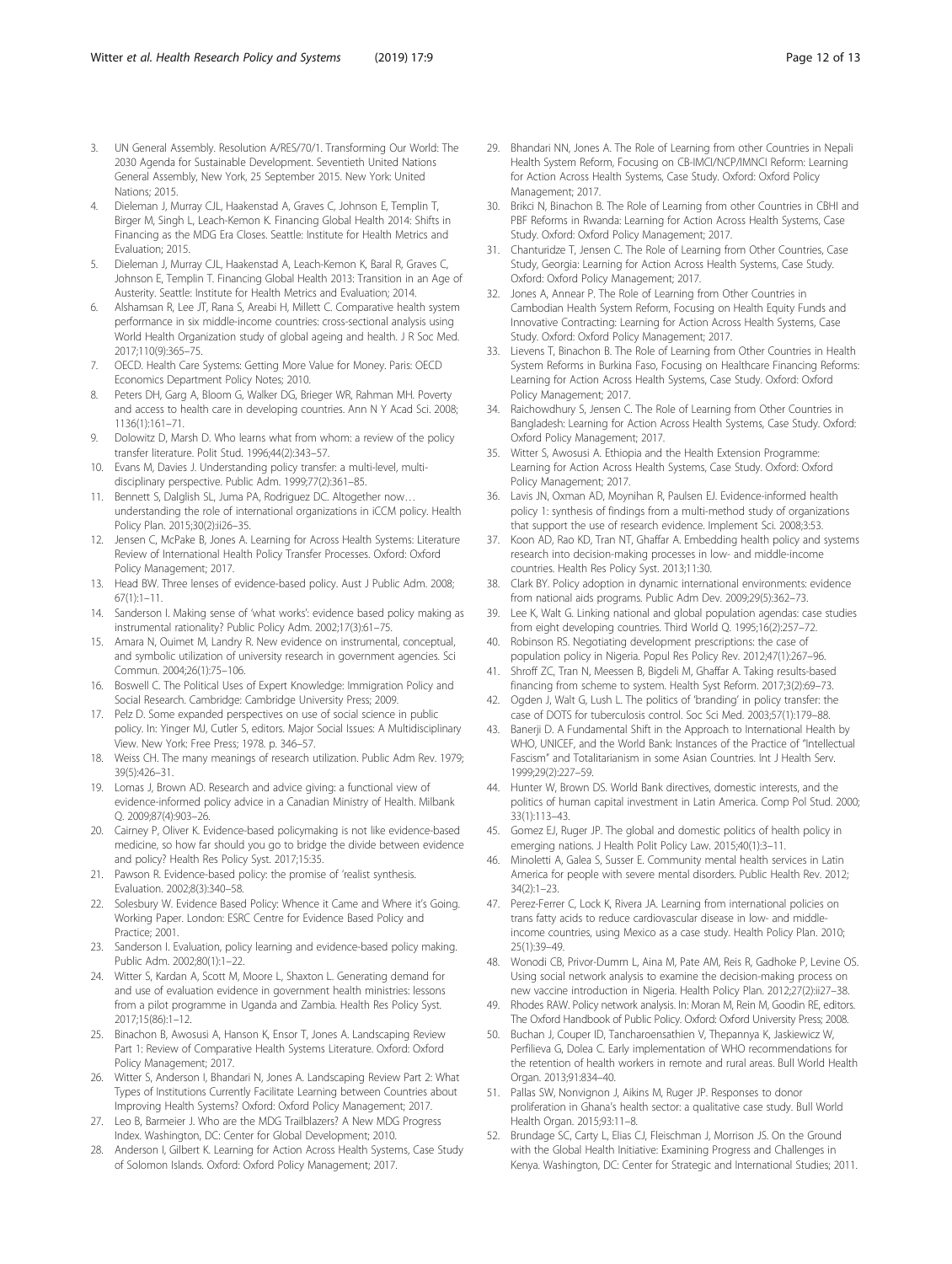- <span id="page-11-0"></span>3. UN General Assembly. Resolution A/RES/70/1. Transforming Our World: The 2030 Agenda for Sustainable Development. Seventieth United Nations General Assembly, New York, 25 September 2015. New York: United Nations; 2015.
- 4. Dieleman J, Murray CJL, Haakenstad A, Graves C, Johnson E, Templin T, Birger M, Singh L, Leach-Kemon K. Financing Global Health 2014: Shifts in Financing as the MDG Era Closes. Seattle: Institute for Health Metrics and Evaluation; 2015.
- 5. Dieleman J, Murray CJL, Haakenstad A, Leach-Kemon K, Baral R, Graves C, Johnson E, Templin T. Financing Global Health 2013: Transition in an Age of Austerity. Seattle: Institute for Health Metrics and Evaluation; 2014.
- 6. Alshamsan R, Lee JT, Rana S, Areabi H, Millett C. Comparative health system performance in six middle-income countries: cross-sectional analysis using World Health Organization study of global ageing and health. J R Soc Med. 2017;110(9):365–75.
- 7. OECD. Health Care Systems: Getting More Value for Money. Paris: OECD Economics Department Policy Notes; 2010.
- Peters DH, Garg A, Bloom G, Walker DG, Brieger WR, Rahman MH. Poverty and access to health care in developing countries. Ann N Y Acad Sci. 2008; 1136(1):161–71.
- 9. Dolowitz D, Marsh D. Who learns what from whom: a review of the policy transfer literature. Polit Stud. 1996;44(2):343–57.
- 10. Evans M, Davies J. Understanding policy transfer: a multi-level, multidisciplinary perspective. Public Adm. 1999;77(2):361–85.
- 11. Bennett S, Dalglish SL, Juma PA, Rodriguez DC. Altogether now… understanding the role of international organizations in iCCM policy. Health Policy Plan. 2015;30(2):ii26–35.
- 12. Jensen C, McPake B, Jones A. Learning for Across Health Systems: Literature Review of International Health Policy Transfer Processes. Oxford: Oxford Policy Management; 2017.
- 13. Head BW. Three lenses of evidence-based policy. Aust J Public Adm. 2008; 67(1):1–11.
- 14. Sanderson I. Making sense of 'what works': evidence based policy making as instrumental rationality? Public Policy Adm. 2002;17(3):61–75.
- 15. Amara N, Ouimet M, Landry R. New evidence on instrumental, conceptual, and symbolic utilization of university research in government agencies. Sci Commun. 2004;26(1):75–106.
- 16. Boswell C. The Political Uses of Expert Knowledge: Immigration Policy and Social Research. Cambridge: Cambridge University Press; 2009.
- 17. Pelz D. Some expanded perspectives on use of social science in public policy. In: Yinger MJ, Cutler S, editors. Major Social Issues: A Multidisciplinary View. New York: Free Press; 1978. p. 346–57.
- 18. Weiss CH. The many meanings of research utilization. Public Adm Rev. 1979; 39(5):426–31.
- 19. Lomas J, Brown AD. Research and advice giving: a functional view of evidence-informed policy advice in a Canadian Ministry of Health. Milbank Q. 2009;87(4):903–26.
- 20. Cairney P, Oliver K. Evidence-based policymaking is not like evidence-based medicine, so how far should you go to bridge the divide between evidence and policy? Health Res Policy Syst. 2017;15:35.
- 21. Pawson R. Evidence-based policy: the promise of 'realist synthesis. Evaluation. 2002;8(3):340–58.
- 22. Solesbury W. Evidence Based Policy: Whence it Came and Where it's Going. Working Paper. London: ESRC Centre for Evidence Based Policy and Practice; 2001.
- 23. Sanderson I. Evaluation, policy learning and evidence-based policy making. Public Adm. 2002;80(1):1–22.
- 24. Witter S, Kardan A, Scott M, Moore L, Shaxton L. Generating demand for and use of evaluation evidence in government health ministries: lessons from a pilot programme in Uganda and Zambia. Health Res Policy Syst. 2017;15(86):1–12.
- 25. Binachon B, Awosusi A, Hanson K, Ensor T, Jones A. Landscaping Review Part 1: Review of Comparative Health Systems Literature. Oxford: Oxford Policy Management; 2017.
- 26. Witter S, Anderson I, Bhandari N, Jones A. Landscaping Review Part 2: What Types of Institutions Currently Facilitate Learning between Countries about Improving Health Systems? Oxford: Oxford Policy Management; 2017.
- 27. Leo B, Barmeier J. Who are the MDG Trailblazers? A New MDG Progress Index. Washington, DC: Center for Global Development; 2010.
- 28. Anderson I, Gilbert K. Learning for Action Across Health Systems, Case Study of Solomon Islands. Oxford: Oxford Policy Management; 2017.
- 29. Bhandari NN, Jones A. The Role of Learning from other Countries in Nepali Health System Reform, Focusing on CB-IMCI/NCP/IMNCI Reform: Learning for Action Across Health Systems, Case Study. Oxford: Oxford Policy Management; 2017.
- 30. Brikci N, Binachon B. The Role of Learning from other Countries in CBHI and PBF Reforms in Rwanda: Learning for Action Across Health Systems, Case Study. Oxford: Oxford Policy Management; 2017.
- 31. Chanturidze T, Jensen C. The Role of Learning from Other Countries, Case Study, Georgia: Learning for Action Across Health Systems, Case Study. Oxford: Oxford Policy Management; 2017.
- 32. Jones A, Annear P. The Role of Learning from Other Countries in Cambodian Health System Reform, Focusing on Health Equity Funds and Innovative Contracting: Learning for Action Across Health Systems, Case Study. Oxford: Oxford Policy Management; 2017.
- 33. Lievens T, Binachon B. The Role of Learning from Other Countries in Health System Reforms in Burkina Faso, Focusing on Healthcare Financing Reforms: Learning for Action Across Health Systems, Case Study. Oxford: Oxford Policy Management; 2017.
- 34. Raichowdhury S, Jensen C. The Role of Learning from Other Countries in Bangladesh: Learning for Action Across Health Systems, Case Study. Oxford: Oxford Policy Management; 2017.
- 35. Witter S, Awosusi A. Ethiopia and the Health Extension Programme: Learning for Action Across Health Systems, Case Study. Oxford: Oxford Policy Management; 2017.
- 36. Lavis JN, Oxman AD, Moynihan R, Paulsen EJ. Evidence-informed health policy 1: synthesis of findings from a multi-method study of organizations that support the use of research evidence. Implement Sci. 2008;3:53.
- 37. Koon AD, Rao KD, Tran NT, Ghaffar A. Embedding health policy and systems research into decision-making processes in low- and middle-income countries. Health Res Policy Syst. 2013;11:30.
- 38. Clark BY. Policy adoption in dynamic international environments: evidence from national aids programs. Public Adm Dev. 2009;29(5):362–73.
- 39. Lee K, Walt G. Linking national and global population agendas: case studies from eight developing countries. Third World Q. 1995;16(2):257–72.
- 40. Robinson RS. Negotiating development prescriptions: the case of population policy in Nigeria. Popul Res Policy Rev. 2012;47(1):267–96.
- 41. Shroff ZC, Tran N, Meessen B, Bigdeli M, Ghaffar A. Taking results-based financing from scheme to system. Health Syst Reform. 2017;3(2):69–73.
- 42. Ogden J, Walt G, Lush L. The politics of 'branding' in policy transfer: the case of DOTS for tuberculosis control. Soc Sci Med. 2003;57(1):179–88.
- 43. Banerji D. A Fundamental Shift in the Approach to International Health by WHO, UNICEF, and the World Bank: Instances of the Practice of "Intellectual Fascism" and Totalitarianism in some Asian Countries. Int J Health Serv. 1999;29(2):227–59.
- 44. Hunter W, Brown DS. World Bank directives, domestic interests, and the politics of human capital investment in Latin America. Comp Pol Stud. 2000; 33(1):113–43.
- 45. Gomez EJ, Ruger JP. The global and domestic politics of health policy in emerging nations. J Health Polit Policy Law. 2015;40(1):3–11.
- 46. Minoletti A, Galea S, Susser E. Community mental health services in Latin America for people with severe mental disorders. Public Health Rev. 2012; 34(2):1–23.
- 47. Perez-Ferrer C, Lock K, Rivera JA. Learning from international policies on trans fatty acids to reduce cardiovascular disease in low- and middleincome countries, using Mexico as a case study. Health Policy Plan. 2010; 25(1):39–49.
- 48. Wonodi CB, Privor-Dumm L, Aina M, Pate AM, Reis R, Gadhoke P, Levine OS. Using social network analysis to examine the decision-making process on new vaccine introduction in Nigeria. Health Policy Plan. 2012;27(2):ii27–38.
- 49. Rhodes RAW. Policy network analysis. In: Moran M, Rein M, Goodin RE, editors. The Oxford Handbook of Public Policy. Oxford: Oxford University Press; 2008.
- 50. Buchan J, Couper ID, Tancharoensathien V, Thepannya K, Jaskiewicz W, Perfilieva G, Dolea C. Early implementation of WHO recommendations for the retention of health workers in remote and rural areas. Bull World Health Organ. 2013;91:834–40.
- 51. Pallas SW, Nonvignon J, Aikins M, Ruger JP. Responses to donor proliferation in Ghana's health sector: a qualitative case study. Bull World Health Organ. 2015;93:11–8.
- 52. Brundage SC, Carty L, Elias CJ, Fleischman J, Morrison JS. On the Ground with the Global Health Initiative: Examining Progress and Challenges in Kenya. Washington, DC: Center for Strategic and International Studies; 2011.